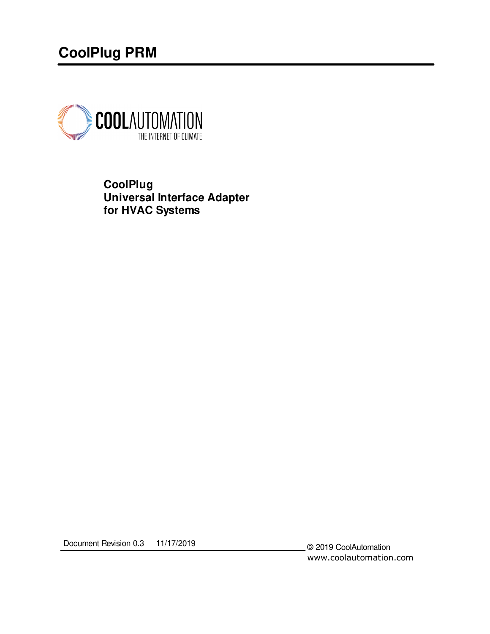# **CoolPlug PRM**



**CoolPlug Universal Interface Adapter for HVAC Systems**

Document Revision 0.3 11/17/2019

© 2019 CoolAutomation www.coolautomation.com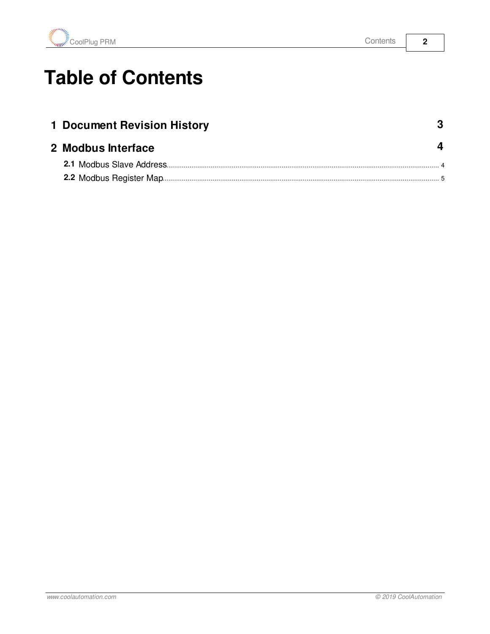

# **Table of Contents**

| 1 Document Revision History |  |
|-----------------------------|--|
| 2 Modbus Interface          |  |
|                             |  |
|                             |  |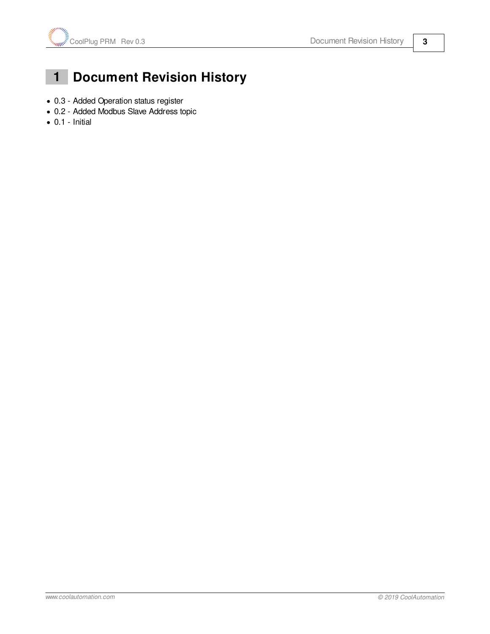

# <span id="page-2-0"></span> **1 Document Revision History**

- · 0.3 Added Operation status register
- · 0.2 Added Modbus Slave Address topic
- $\bullet$  0.1 Initial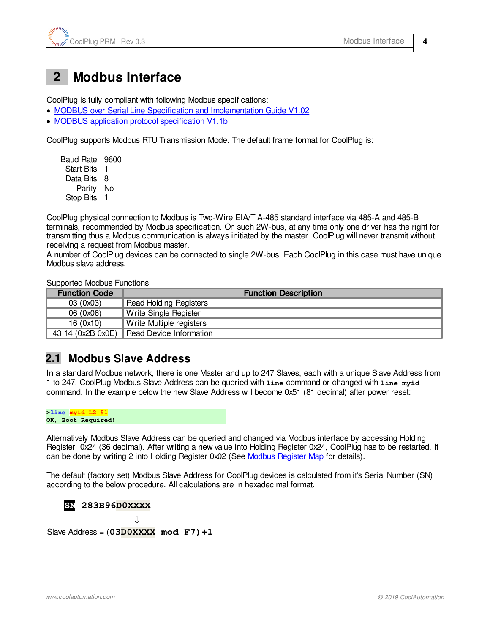### <span id="page-3-0"></span> **2 Modbus Interface**

CoolPlug is fully compliant with following Modbus specifications:

- · [MODBUS over Serial Line Specification and Implementation Guide V1.02](http://www.modbus.org/docs/Modbus_over_serial_line_V1_02.pdf)
- · [MODBUS application protocol specification V1.1b](http://www.modbus.org/docs/Modbus_Application_Protocol_V1_1b.pdf)

CoolPlug supports Modbus RTU Transmission Mode. The default frame format for CoolPlug is:

Baud Rate 9600 Start Bits 1 Data Bits 8 Parity No Stop Bits 1

CoolPlug physical connection to Modbus is Two-Wire EIA/TIA-485 standard interface via 485-A and 485-B terminals, recommended by Modbus specification. On such 2W-bus, at any time only one driver has the right for transmitting thus a Modbus communication is always initiated by the master. CoolPlug will never transmit without receiving a request from Modbus master.

A number of CoolPlug devices can be connected to single 2W-bus. Each CoolPlug in this case must have unique Modbus slave address.

Supported Modbus Functions

| <b>Function Code</b> | <b>Function Description</b>   |  |  |  |
|----------------------|-------------------------------|--|--|--|
| 03 (0x03)            | <b>Read Holding Registers</b> |  |  |  |
| 06(0x06)             | Write Single Register         |  |  |  |
| 16(0x10)             | Write Multiple registers      |  |  |  |
| 43 14 (0x2B 0x0E)    | Read Device Information       |  |  |  |

#### <span id="page-3-1"></span>**2.1 Modbus Slave Address**

In a standard Modbus network, there is one Master and up to 247 Slaves, each with a unique Slave Address from 1 to 247. CoolPlug Modbus Slave Address can be queried with **line** command or changed with **line myid** command. In the example below the new Slave Address will become 0x51 (81 decimal) after power reset:



Alternatively Modbus Slave Address can be queried and changed via Modbus interface by accessing Holding Register 0x24 (36 decimal). After writing a new value into Holding Register 0x24, CoolPlug has to be restarted. It can be done by writing 2 into Holding Register 0x02 (See [Modbus Register Map](#page-4-0) for details).

The default (factory set) Modbus Slave Address for CoolPlug devices is calculated from it's Serial Number (SN) according to the below procedure. All calculations are in hexadecimal format.

 **SN 283B96D0XXXX** Slave Address = (**03D0XXXX mod F7)+1**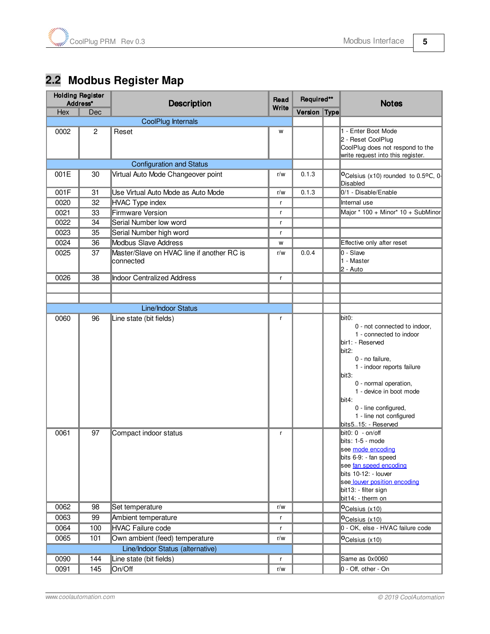# <span id="page-4-0"></span>**2.2 Modbus Register Map**

| <b>Holding Register</b><br>Address* |          | <b>Description</b>                                      | Read   | Required**   |  | <b>Notes</b>                                                                                                                                                                                                                                                                                                                                                                                                                                                                                                       |
|-------------------------------------|----------|---------------------------------------------------------|--------|--------------|--|--------------------------------------------------------------------------------------------------------------------------------------------------------------------------------------------------------------------------------------------------------------------------------------------------------------------------------------------------------------------------------------------------------------------------------------------------------------------------------------------------------------------|
| Hex                                 | Dec      |                                                         | Write  | Version Type |  |                                                                                                                                                                                                                                                                                                                                                                                                                                                                                                                    |
|                                     |          | CoolPlug Internals                                      |        |              |  |                                                                                                                                                                                                                                                                                                                                                                                                                                                                                                                    |
| 0002                                | 2        | Reset                                                   | W      |              |  | 1 - Enter Boot Mode<br>2 - Reset CoolPlug<br>CoolPlug does not respond to the<br>write request into this register.                                                                                                                                                                                                                                                                                                                                                                                                 |
|                                     |          | <b>Configuration and Status</b>                         |        |              |  |                                                                                                                                                                                                                                                                                                                                                                                                                                                                                                                    |
| 001E                                | 30       | Virtual Auto Mode Changeover point                      | r/w    | 0.1.3        |  | OCelsius (x10) rounded to 0.5°C, 0-<br>Disabled                                                                                                                                                                                                                                                                                                                                                                                                                                                                    |
| 001F                                | 31       | Use Virtual Auto Mode as Auto Mode                      | r/w    | 0.1.3        |  | 0/1 - Disable/Enable                                                                                                                                                                                                                                                                                                                                                                                                                                                                                               |
| 0020                                | 32       | <b>HVAC Type index</b>                                  | r      |              |  | Internal use                                                                                                                                                                                                                                                                                                                                                                                                                                                                                                       |
| 0021                                | 33       | <b>Firmware Version</b>                                 | r      |              |  | Major * 100 + Minor* 10 + SubMinor                                                                                                                                                                                                                                                                                                                                                                                                                                                                                 |
| 0022                                | 34       | Serial Number low word                                  | r      |              |  |                                                                                                                                                                                                                                                                                                                                                                                                                                                                                                                    |
| 0023                                | 35       | Serial Number high word                                 | r      |              |  |                                                                                                                                                                                                                                                                                                                                                                                                                                                                                                                    |
| 0024                                | 36       | <b>Modbus Slave Address</b>                             | W      |              |  | Effective only after reset                                                                                                                                                                                                                                                                                                                                                                                                                                                                                         |
| 0025                                | 37       | Master/Slave on HVAC line if another RC is<br>connected | r/w    | 0.0.4        |  | $0 -$ Slave<br>1 - Master<br>2 - Auto                                                                                                                                                                                                                                                                                                                                                                                                                                                                              |
| 0026                                | 38       | <b>Indoor Centralized Address</b>                       | r      |              |  |                                                                                                                                                                                                                                                                                                                                                                                                                                                                                                                    |
|                                     |          |                                                         |        |              |  |                                                                                                                                                                                                                                                                                                                                                                                                                                                                                                                    |
|                                     |          |                                                         |        |              |  |                                                                                                                                                                                                                                                                                                                                                                                                                                                                                                                    |
|                                     |          | <b>Line/Indoor Status</b>                               |        |              |  |                                                                                                                                                                                                                                                                                                                                                                                                                                                                                                                    |
| 0060<br>0061                        | 96<br>97 | Line state (bit fields)<br>Compact indoor status        | r<br>r |              |  | bit0:<br>0 - not connected to indoor,<br>1 - connected to indoor<br>bir1: - Reserved<br>$\textsf{bit2:}$<br>0 - no failure,<br>1 - indoor reports failure<br>bit3:<br>0 - normal operation,<br>1 - device in boot mode<br>$\text{bit4:}$<br>0 - line configured,<br>1 - line not configured<br>bits515: - Reserved<br>bit0: 0 - on/off<br>bits: 1-5 - mode<br>see mode encoding<br>bits 6-9: - fan speed<br>see fan speed encoding<br>bits 10-12: - louver<br>see louver position encoding<br>bit13: - filter sign |
|                                     |          |                                                         |        |              |  | bit14: - therm on                                                                                                                                                                                                                                                                                                                                                                                                                                                                                                  |
| 0062                                | 98       | Set temperature                                         | r/w    |              |  | O <sub>Celsius</sub> (x10)                                                                                                                                                                                                                                                                                                                                                                                                                                                                                         |
| 0063                                | 99       | Ambient temperature                                     | r      |              |  | O <sub>Celsius</sub> (x10)<br>0 - OK, else - HVAC failure code                                                                                                                                                                                                                                                                                                                                                                                                                                                     |
| 0064                                | 100      | <b>HVAC Failure code</b>                                | r      |              |  |                                                                                                                                                                                                                                                                                                                                                                                                                                                                                                                    |
| 0065                                | 101      | Own ambient (feed) temperature                          | r/w    |              |  | O <sub>Celsius</sub> (x10)                                                                                                                                                                                                                                                                                                                                                                                                                                                                                         |
|                                     |          | Line/Indoor Status (alternative)                        |        |              |  |                                                                                                                                                                                                                                                                                                                                                                                                                                                                                                                    |
| 0090                                | 144      | Line state (bit fields)                                 | r      |              |  | Same as 0x0060                                                                                                                                                                                                                                                                                                                                                                                                                                                                                                     |
| 0091                                | 145      | On/Off                                                  | r/w    |              |  | 0 - Off, other - On                                                                                                                                                                                                                                                                                                                                                                                                                                                                                                |